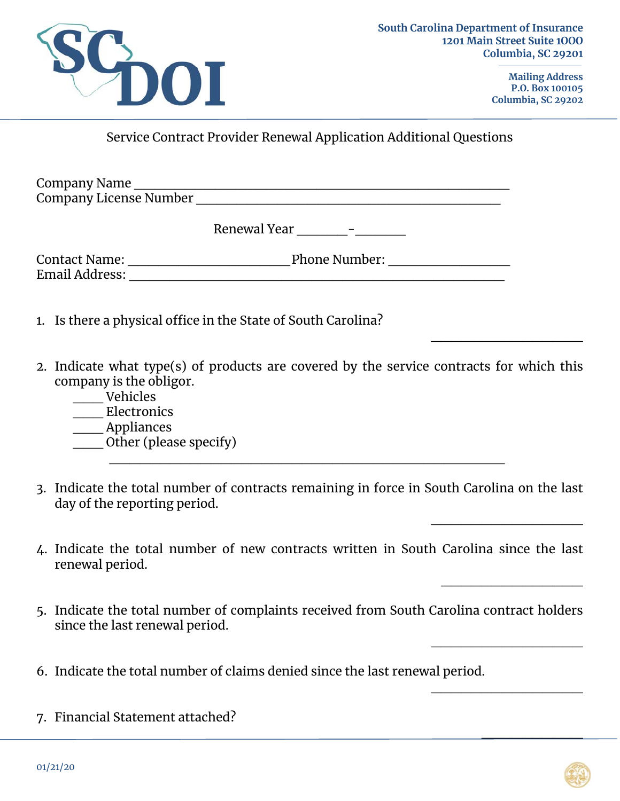

**Mailing Address P.O. Box 100105 Columbia, SC 29202** 

 $\overline{\phantom{a}}$  , where  $\overline{\phantom{a}}$  , where  $\overline{\phantom{a}}$ 

 $\overline{\phantom{a}}$  , where  $\overline{\phantom{a}}$  , where  $\overline{\phantom{a}}$ 

\_\_\_\_\_\_\_\_\_\_\_\_\_\_

 $\overline{\phantom{a}}$  , where  $\overline{\phantom{a}}$  , where  $\overline{\phantom{a}}$  , where  $\overline{\phantom{a}}$ 

 $\overline{\phantom{a}}$  , where  $\overline{\phantom{a}}$  , where  $\overline{\phantom{a}}$  , where  $\overline{\phantom{a}}$ 

 $\frac{1}{2}$ 

Service Contract Provider Renewal Application Additional Questions

Company Name \_\_\_\_\_\_\_\_\_\_\_\_\_\_\_\_\_\_\_\_\_\_\_\_\_\_\_\_\_\_\_\_\_\_\_\_\_ Company License Number \_\_\_\_\_\_\_\_\_\_\_\_\_\_\_\_\_\_\_\_\_\_\_\_\_\_\_\_\_\_

|  | Renewal Year |  |
|--|--------------|--|
|--|--------------|--|

Contact Name: \_\_\_\_\_\_\_\_\_\_\_\_\_\_\_\_ Phone Number: \_\_\_\_\_\_\_\_\_\_\_\_ Email Address: \_\_\_\_\_\_\_\_\_\_\_\_\_\_\_\_\_\_\_\_\_\_\_\_\_\_\_\_\_\_\_\_\_\_\_\_\_

1. Is there a physical office in the State of South Carolina?

- 2. Indicate what type(s) of products are covered by the service contracts for which this company is the obligor.
	- \_\_\_ Vehicles
	- \_\_\_ Electronics
	- \_\_\_ Appliances
	- $\frac{1}{\sqrt{2}}$ Other (please specify)  $\mathcal{L}_\text{max} = \frac{1}{2} \sum_{i=1}^{n} \frac{1}{2} \sum_{i=1}^{n} \frac{1}{2} \sum_{i=1}^{n} \frac{1}{2} \sum_{i=1}^{n} \frac{1}{2} \sum_{i=1}^{n} \frac{1}{2} \sum_{i=1}^{n} \frac{1}{2} \sum_{i=1}^{n} \frac{1}{2} \sum_{i=1}^{n} \frac{1}{2} \sum_{i=1}^{n} \frac{1}{2} \sum_{i=1}^{n} \frac{1}{2} \sum_{i=1}^{n} \frac{1}{2} \sum_{i=1}^{n} \frac{1$
- 3. Indicate the total number of contracts remaining in force in South Carolina on the last day of the reporting period.
- 4. Indicate the total number of new contracts written in South Carolina since the last renewal period.
- 5. Indicate the total number of complaints received from South Carolina contract holders since the last renewal period.
- 6. Indicate the total number of claims denied since the last renewal period.
- 7. Financial Statement attached?

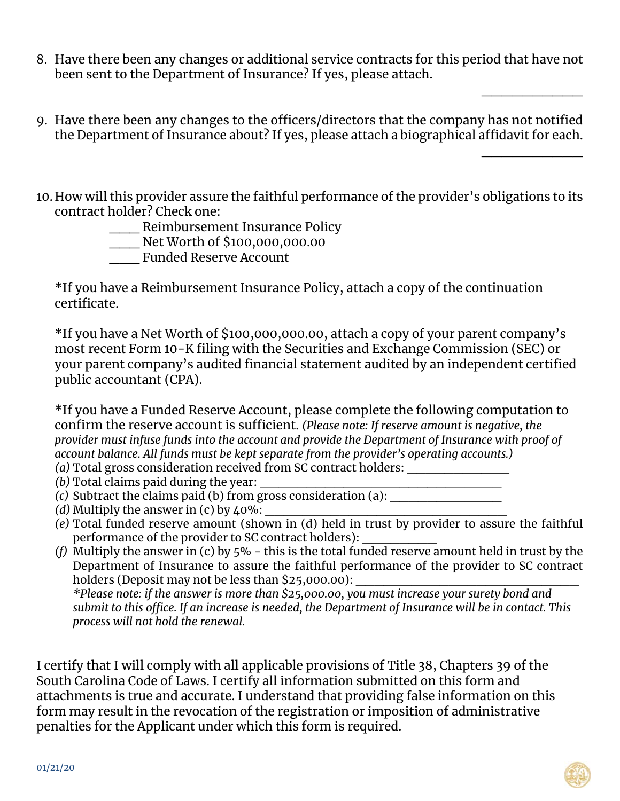- 8. Have there been any changes or additional service contracts for this period that have not been sent to the Department of Insurance? If yes, please attach.
- 9. Have there been any changes to the officers/directors that the company has not notified the Department of Insurance about? If yes, please attach a biographical affidavit for each.

 $\overline{\phantom{a}}$  , where  $\overline{\phantom{a}}$ 

 $\overline{\phantom{a}}$  , where  $\overline{\phantom{a}}$ 

10. How will this provider assure the faithful performance of the provider's obligations to its contract holder? Check one:

\_\_\_ Reimbursement Insurance Policy

\_\_\_ Net Worth of \$100,000,000.00

\_\_\_ Funded Reserve Account

\*If you have a Reimbursement Insurance Policy, attach a copy of the continuation certificate.

\*If you have a Net Worth of \$100,000,000.00, attach a copy of your parent company's most recent Form 10-K filing with the Securities and Exchange Commission (SEC) or your parent company's audited financial statement audited by an independent certified public accountant (CPA).

\*If you have a Funded Reserve Account, please complete the following computation to confirm the reserve account is sufficient. *(Please note: If reserve amount is negative, the provider must infuse funds into the account and provide the Department of Insurance with proof of account balance. All funds must be kept separate from the provider's operating accounts.) (a)* Total gross consideration received from SC contract holders: \_\_\_\_\_\_\_\_\_\_\_

*(b)* Total claims paid during the year:

- *(c)* Subtract the claims paid (b) from gross consideration (a): \_\_\_\_\_\_\_\_\_\_\_\_
- *(d)* Multiply the answer in  $(c)$  by  $40\%$ :
- *(e)* Total funded reserve amount (shown in (d) held in trust by provider to assure the faithful performance of the provider to SC contract holders):
- *(f)* Multiply the answer in (c) by 5% this is the total funded reserve amount held in trust by the Department of Insurance to assure the faithful performance of the provider to SC contract holders (Deposit may not be less than  $$25,000.00$ ): *\*Please note: if the answer is more than \$25,000.00, you must increase your surety bond and*

*submit to this office. If an increase is needed, the Department of Insurance will be in contact. This process will not hold the renewal.* 

I certify that I will comply with all applicable provisions of Title 38, Chapters 39 of the South Carolina Code of Laws. I certify all information submitted on this form and attachments is true and accurate. I understand that providing false information on this form may result in the revocation of the registration or imposition of administrative penalties for the Applicant under which this form is required.